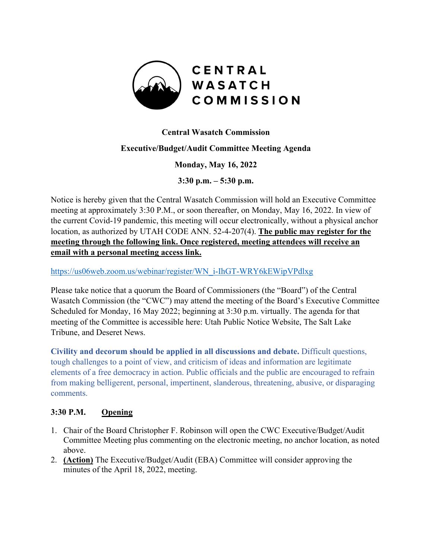

## **Central Wasatch Commission**

### **Executive/Budget/Audit Committee Meeting Agenda**

**Monday, May 16, 2022**

**3:30 p.m. – 5:30 p.m.**

Notice is hereby given that the Central Wasatch Commission will hold an Executive Committee meeting at approximately 3:30 P.M., or soon thereafter, on Monday, May 16, 2022. In view of the current Covid-19 pandemic, this meeting will occur electronically, without a physical anchor location, as authorized by UTAH CODE ANN. 52-4-207(4). **The public may register for the meeting through the following link. Once registered, meeting attendees will receive an email with a personal meeting access link.** 

[https://us06web.zoom.us/webinar/register/WN\\_i-IhGT-WRY6kEWipVPdlxg](https://us06web.zoom.us/webinar/register/WN_i-IhGT-WRY6kEWipVPdlxg)

Please take notice that a quorum the Board of Commissioners (the "Board") of the Central Wasatch Commission (the "CWC") may attend the meeting of the Board's Executive Committee Scheduled for Monday, 16 May 2022; beginning at 3:30 p.m. virtually. The agenda for that meeting of the Committee is accessible here: Utah Public Notice Website, The Salt Lake Tribune, and Deseret News.

**Civility and decorum should be applied in all discussions and debate.** Difficult questions, tough challenges to a point of view, and criticism of ideas and information are legitimate elements of a free democracy in action. Public officials and the public are encouraged to refrain from making belligerent, personal, impertinent, slanderous, threatening, abusive, or disparaging comments.

#### **3:30 P.M. Opening**

- 1. Chair of the Board Christopher F. Robinson will open the CWC Executive/Budget/Audit Committee Meeting plus commenting on the electronic meeting, no anchor location, as noted above.
- 2. **(Action)** The Executive/Budget/Audit (EBA) Committee will consider approving the minutes of the April 18, 2022, meeting.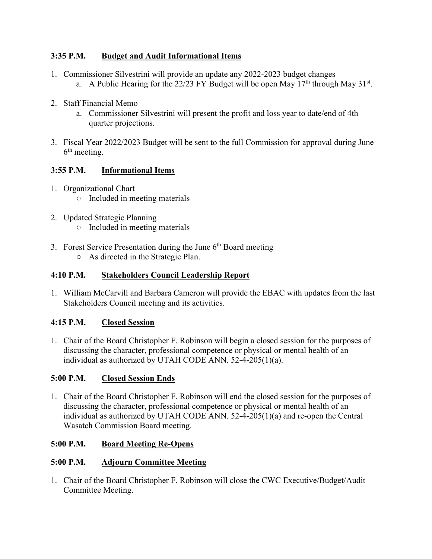# **3:35 P.M. Budget and Audit Informational Items**

- 1. Commissioner Silvestrini will provide an update any 2022-2023 budget changes a. A Public Hearing for the 22/23 FY Budget will be open May  $17<sup>th</sup>$  through May  $31<sup>st</sup>$ .
- 2. Staff Financial Memo
	- a. Commissioner Silvestrini will present the profit and loss year to date/end of 4th quarter projections.
- 3. Fiscal Year 2022/2023 Budget will be sent to the full Commission for approval during June  $6<sup>th</sup>$  meeting.

# **3:55 P.M. Informational Items**

- 1. Organizational Chart
	- Included in meeting materials
- 2. Updated Strategic Planning ○ Included in meeting materials
- 3. Forest Service Presentation during the June  $6<sup>th</sup>$  Board meeting ○ As directed in the Strategic Plan.

## **4:10 P.M. Stakeholders Council Leadership Report**

1. William McCarvill and Barbara Cameron will provide the EBAC with updates from the last Stakeholders Council meeting and its activities.

# **4:15 P.M. Closed Session**

1. Chair of the Board Christopher F. Robinson will begin a closed session for the purposes of discussing the character, professional competence or physical or mental health of an individual as authorized by UTAH CODE ANN. 52-4-205(1)(a).

# **5:00 P.M. Closed Session Ends**

1. Chair of the Board Christopher F. Robinson will end the closed session for the purposes of discussing the character, professional competence or physical or mental health of an individual as authorized by UTAH CODE ANN. 52-4-205(1)(a) and re-open the Central Wasatch Commission Board meeting.

#### **5:00 P.M. Board Meeting Re-Opens**

## **5:00 P.M. Adjourn Committee Meeting**

1. Chair of the Board Christopher F. Robinson will close the CWC Executive/Budget/Audit Committee Meeting.

 $\mathcal{L}_\mathcal{L} = \mathcal{L}_\mathcal{L} = \mathcal{L}_\mathcal{L} = \mathcal{L}_\mathcal{L} = \mathcal{L}_\mathcal{L} = \mathcal{L}_\mathcal{L} = \mathcal{L}_\mathcal{L} = \mathcal{L}_\mathcal{L} = \mathcal{L}_\mathcal{L} = \mathcal{L}_\mathcal{L} = \mathcal{L}_\mathcal{L} = \mathcal{L}_\mathcal{L} = \mathcal{L}_\mathcal{L} = \mathcal{L}_\mathcal{L} = \mathcal{L}_\mathcal{L} = \mathcal{L}_\mathcal{L} = \mathcal{L}_\mathcal{L}$